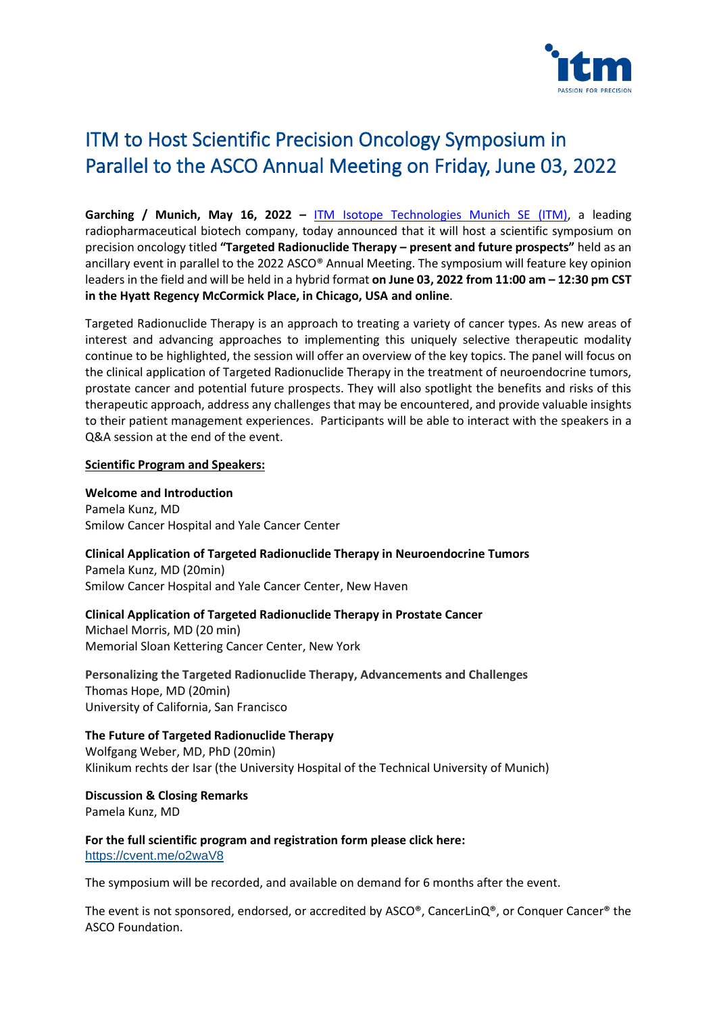

# ITM to Host Scientific Precision Oncology Symposium in Parallel to the ASCO Annual Meeting on Friday, June 03, 2022

**Garching / Munich, May 16, 2022 –** [ITM Isotope Technologies Munich SE](https://itm-radiopharma.com/home) (ITM), a leading radiopharmaceutical biotech company, today announced that it will host a scientific symposium on precision oncology titled **"Targeted Radionuclide Therapy – present and future prospects"** held as an ancillary event in parallel to the 2022 ASCO® Annual Meeting. The symposium will feature key opinion leaders in the field and will be held in a hybrid format **on June 03, 2022 from 11:00 am – 12:30 pm CST in the Hyatt Regency McCormick Place, in Chicago, USA and online**.

Targeted Radionuclide Therapy is an approach to treating a variety of cancer types. As new areas of interest and advancing approaches to implementing this uniquely selective therapeutic modality continue to be highlighted, the session will offer an overview of the key topics. The panel will focus on the clinical application of Targeted Radionuclide Therapy in the treatment of neuroendocrine tumors, prostate cancer and potential future prospects. They will also spotlight the benefits and risks of this therapeutic approach, address any challenges that may be encountered, and provide valuable insights to their patient management experiences. Participants will be able to interact with the speakers in a Q&A session at the end of the event.

### **Scientific Program and Speakers:**

**Welcome and Introduction** Pamela Kunz, MD Smilow Cancer Hospital and Yale Cancer Center

# **Clinical Application of Targeted Radionuclide Therapy in Neuroendocrine Tumors**

Pamela Kunz, MD (20min) Smilow Cancer Hospital and Yale Cancer Center, New Haven

# **Clinical Application of Targeted Radionuclide Therapy in Prostate Cancer**

Michael Morris, MD (20 min) Memorial Sloan Kettering Cancer Center, New York

**Personalizing the Targeted Radionuclide Therapy, Advancements and Challenges** Thomas Hope, MD (20min) University of California, San Francisco

**The Future of Targeted Radionuclide Therapy** Wolfgang Weber, MD, PhD (20min) Klinikum rechts der Isar (the University Hospital of the Technical University of Munich)

**Discussion & Closing Remarks** Pamela Kunz, MD

**For the full scientific program and registration form please click here:** <https://cvent.me/o2waV8>

The symposium will be recorded, and available on demand for 6 months after the event.

The event is not sponsored, endorsed, or accredited by ASCO®, CancerLinQ®, or Conquer Cancer® the ASCO Foundation.